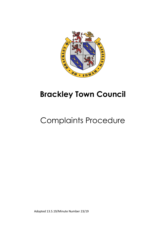

## **Brackley Town Council**

# Complaints Procedure

Adopted 13.5.19/Minute Number 23/19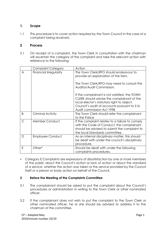### **1. Scope**

1.1 This procedure is to cover action required by the Town Council in the case of a complaint being received.

### **2 Process**

2.1 On receipt of a complaint, the Town Clerk in consultation with the chairman will ascertain the category of the complaint and take the relevant action with reference to the following:

|   | <b>Complaint Category</b> | Action                                                                                                                                                                                                                 |
|---|---------------------------|------------------------------------------------------------------------------------------------------------------------------------------------------------------------------------------------------------------------|
| A | Financial Irregularity    | The Town Clerk/RFO should endeavour to<br>provide an explanation of the item.                                                                                                                                          |
|   |                           | The Town Clerk/RFO may need to consult the<br>Auditor/Audit Commission.                                                                                                                                                |
|   |                           | If the complainant is not satisfied, the TOWN<br>CLERK should advise the complainant of the<br>local elector's statutory right to object.<br>Council's audit of accounts pursuant to \$16<br>Audit commission Act 1998 |
| B | Criminal Activity         | The Town Clerk should refer the complainant<br>to the Police                                                                                                                                                           |
| C | Member Conduct            | If the complaint relates to a failure to comply<br>with the Code of Conduct, the complainant<br>should be advised to submit the complaint to<br>the local Standards committee.                                         |
| D | <b>Employee Conduct</b>   | As an internal disciplinary matter, this should<br>be dealt with under the council's disciplinary<br>procedure.                                                                                                        |
| E | Other*                    | Should be dealt with under the following<br>complaints procedures.                                                                                                                                                     |

 Category E Complaints are expressions of dissatisfaction by one or more members of the public about the Council's action or lack of action or about the standard of a service, whether the action was taken or the service provided by the Council itself or a person or body action on behalf of the Council.

#### **3 Before the Meeting of the Complaints Committee**

- 3.1 The complainant should be asked to put the complaint about the Council's procedures or administration in writing to the Town Clerk or other nominated officer.
- 3.2 If the complainant does not wish to put the complaint to the Town Clerk or other nominated officer, he or she should be advised to address it to the chairman of the committee.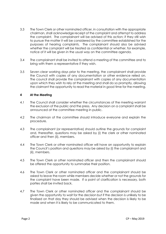- 3.3 The Town Clerk or other nominated officer, in consultation with the appropriate chairman, shall acknowledge receipt of the complaint and attempt to address the complaint. The complainant will be advised of this action; if they still wish to pursue the matter it will be considered by the committee established for the purposes of hearing complaints. The complainant should also be advised whether the complaint will be treated as confidential or whether, for example, notice of it will be given in the usual way on the committee agenda.
- 3.4 The complainant shall be invited to attend a meeting of the committee and to bring with them a representative if they wish.
- 3.5 Seven clear working days prior to the meeting, the complainant shall provide the Council with copies of any documentation or other evidence relied on. The council shall provide the complainant with copies of any documentation upon which they wish to rely at the meeting and shall do so promptly, allowing the claimant the opportunity to read the material in good time for the meeting.

#### **4 At the Meeting**

- 4.1 The Council shall consider whether the circumstances of the meeting warrant the exclusion of the public and the press. Any decision on a complaint shall be announced at the committee meeting in public.
- 4.2 The chairman of the committee should introduce everyone and explain the procedure.
- 4.3 The complainant (or representative) should outline the grounds for complaint and, thereafter, questions may be asked by (i) the clerk or other nominated officer and then (ii), members.
- 4.4 The Town Clerk or other nominated officer will have an opportunity to explain the Council's position and questions may be asked by (i) the complainant and (ii), members.
- 4.5 The Town Clerk or other nominated officer and then the complainant should be offered the opportunity to summarise their position.
- 4.6 The Town Clerk or other nominated officer and the complainant should be asked to leave the room while members decide whether or not the grounds for the complaint have been made. If a point of clarification is necessary, both parties shall be invited back.
- 4.7 The Town Clerk or other nominated officer and the complainant should be given the opportunity to wait for the decision but if the decision is unlikely to be finalised on that day they should be advised when the decision is likely to be made and when it is likely to be communicated to them.